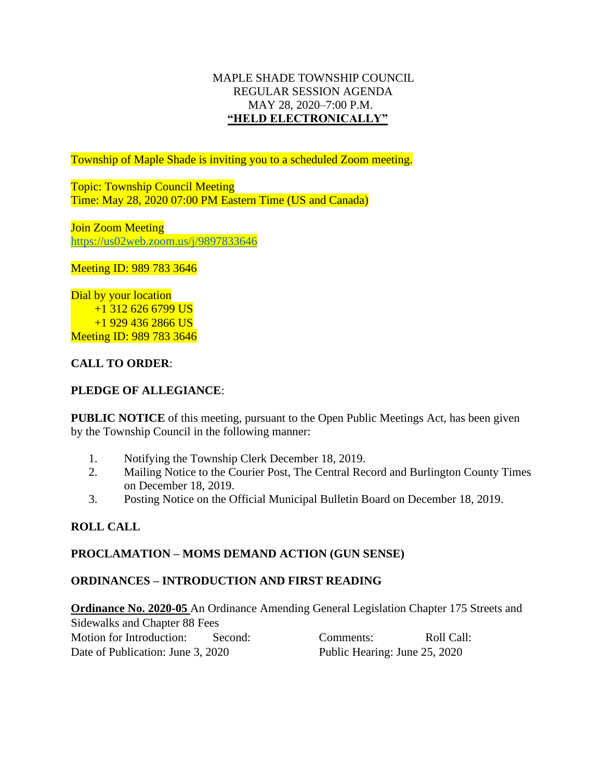### MAPLE SHADE TOWNSHIP COUNCIL REGULAR SESSION AGENDA MAY 28, 2020–7:00 P.M. **"HELD ELECTRONICALLY"**

Township of Maple Shade is inviting you to a scheduled Zoom meeting.

Topic: Township Council Meeting Time: May 28, 2020 07:00 PM Eastern Time (US and Canada)

Join Zoom Meeting <https://us02web.zoom.us/j/9897833646>

Meeting ID: 989 783 3646

Dial by your location +1 312 626 6799 US +1 929 436 2866 US Meeting ID: 989 783 3646

# **CALL TO ORDER**:

# **PLEDGE OF ALLEGIANCE**:

**PUBLIC NOTICE** of this meeting, pursuant to the Open Public Meetings Act, has been given by the Township Council in the following manner:

- 1. Notifying the Township Clerk December 18, 2019.
- 2. Mailing Notice to the Courier Post, The Central Record and Burlington County Times on December 18, 2019.
- 3. Posting Notice on the Official Municipal Bulletin Board on December 18, 2019.

## **ROLL CALL**

## **PROCLAMATION – MOMS DEMAND ACTION (GUN SENSE)**

## **ORDINANCES – INTRODUCTION AND FIRST READING**

**Ordinance No. 2020-05** An Ordinance Amending General Legislation Chapter 175 Streets and Sidewalks and Chapter 88 Fees Motion for Introduction: Second: Comments: Roll Call: Date of Publication: June 3, 2020 Public Hearing: June 25, 2020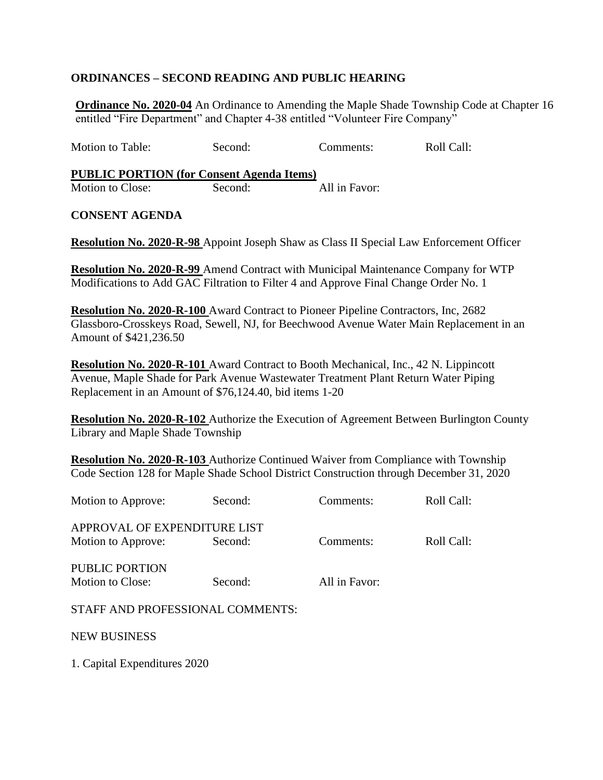# **ORDINANCES – SECOND READING AND PUBLIC HEARING**

**Ordinance No. 2020-04** An Ordinance to Amending the Maple Shade Township Code at Chapter 16 entitled "Fire Department" and Chapter 4-38 entitled "Volunteer Fire Company"

Motion to Table: Second: Comments: Roll Call:

**PUBLIC PORTION (for Consent Agenda Items)** Motion to Close: Second: All in Favor:

#### **CONSENT AGENDA**

**Resolution No. 2020-R-98** Appoint Joseph Shaw as Class II Special Law Enforcement Officer

**Resolution No. 2020-R-99** Amend Contract with Municipal Maintenance Company for WTP Modifications to Add GAC Filtration to Filter 4 and Approve Final Change Order No. 1

**Resolution No. 2020-R-100** Award Contract to Pioneer Pipeline Contractors, Inc, 2682 Glassboro-Crosskeys Road, Sewell, NJ, for Beechwood Avenue Water Main Replacement in an Amount of \$421,236.50

**Resolution No. 2020-R-101** Award Contract to Booth Mechanical, Inc., 42 N. Lippincott Avenue, Maple Shade for Park Avenue Wastewater Treatment Plant Return Water Piping Replacement in an Amount of \$76,124.40, bid items 1-20

**Resolution No. 2020-R-102** Authorize the Execution of Agreement Between Burlington County Library and Maple Shade Township

**Resolution No. 2020-R-103** Authorize Continued Waiver from Compliance with Township Code Section 128 for Maple Shade School District Construction through December 31, 2020

| Motion to Approve:                                 | Second: | Comments:     | Roll Call: |
|----------------------------------------------------|---------|---------------|------------|
| APPROVAL OF EXPENDITURE LIST<br>Motion to Approve: | Second: | Comments:     | Roll Call: |
| <b>PUBLIC PORTION</b><br>Motion to Close:          | Second: | All in Favor: |            |
| STAFF AND PROFESSIONAL COMMENTS:                   |         |               |            |
| <b>NEW BUSINESS</b>                                |         |               |            |

1. Capital Expenditures 2020